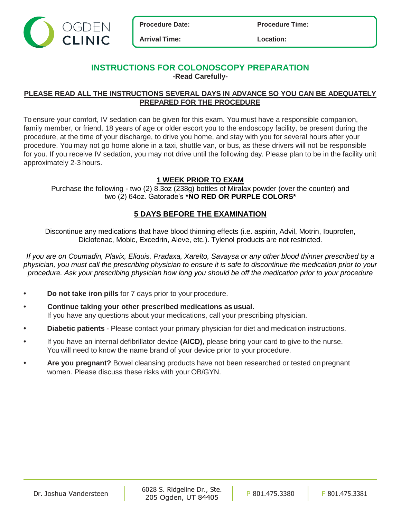

**Procedure Date: Procedure Time:**

**Arrival Time: Location:**

### **INSTRUCTIONS FOR COLONOSCOPY PREPARATION -Read Carefully-**

## **PLEASE READ ALL THE INSTRUCTIONS SEVERAL DAYS IN ADVANCE SO YOU CAN BE ADEQUATELY PREPARED FOR THE PROCEDURE**

To ensure your comfort, IV sedation can be given for this exam. You must have a responsible companion, family member, or friend, 18 years of age or older escort you to the endoscopy facility, be present during the procedure, at the time of your discharge, to drive you home, and stay with you for several hours after your procedure. You may not go home alone in a taxi, shuttle van, or bus, as these drivers will not be responsible for you. If you receive IV sedation, you may not drive until the following day. Please plan to be in the facility unit approximately 2-3 hours.

# **1 WEEK PRIOR TO EXAM**

Purchase the following - two (2) 8.3oz (238g) bottles of Miralax powder (over the counter) and two (2) 64oz. Gatorade's **\*NO RED OR PURPLE COLORS\***

# **5 DAYS BEFORE THE EXAMINATION**

Discontinue any medications that have blood thinning effects (i.e. aspirin, Advil, Motrin, Ibuprofen, Diclofenac, Mobic, Excedrin, Aleve, etc.). Tylenol products are not restricted.

*If you are on Coumadin, Plavix, Eliquis, Pradaxa, Xarelto, Savaysa or any other blood thinner prescribed by a physician, you must call the prescribing physician to ensure it is safe to discontinue the medication prior to your procedure. Ask your prescribing physician how long you should be off the medication prior to your procedure*

- **• Do not take iron pills** for 7 days prior to your procedure.
- **• Continue taking your other prescribed medications as usual.** If you have any questions about your medications, call your prescribing physician.
- **• Diabetic patients** Please contact your primary physician for diet and medication instructions.
- **•** If you have an internal defibrillator device **(AICD)**, please bring your card to give to the nurse. You will need to know the name brand of your device prior to your procedure.
- **• Are you pregnant?** Bowel cleansing products have not been researched or tested on pregnant women. Please discuss these risks with your OB/GYN.